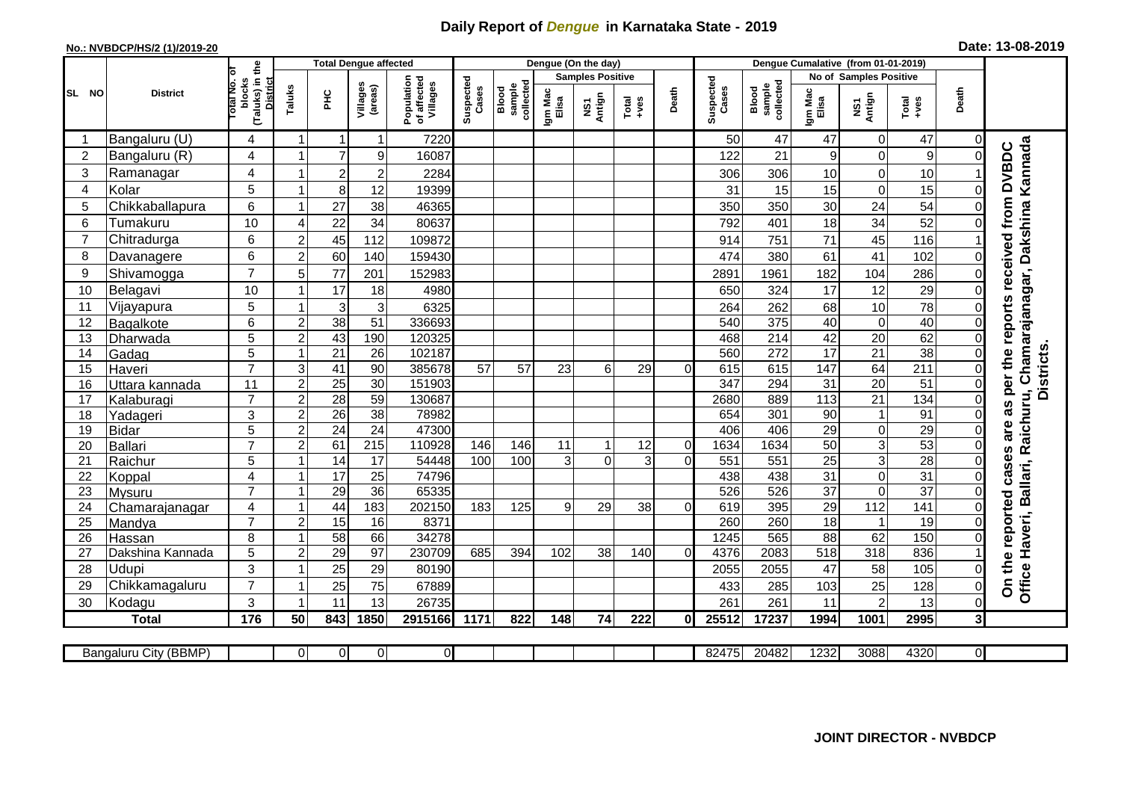## **Daily Report of** *Dengue* **in Karnataka State - 2019**

## **No.: NVBDCP/HS/2 (1)/2019-20 Date: 13-08-2019**

| (Taluks) in the<br>otal No. of<br><b>Samples Positive</b><br><b>No of Samples Positive</b><br>Population<br>of affected<br>Suspected<br>Suspected<br>blocks<br><b>District</b><br>sample<br>collected<br>Villages<br>collected<br>Villages<br>sample<br>(areas)<br>Taluks<br>Cases<br>Cases<br>Blood<br>Blood<br>Death<br>Death<br>Igm Mac<br>Elisa<br>Igm Mac<br>Elisa<br>SL NO<br>PНC<br><b>District</b><br>NS1<br>Antign<br>NS1<br>Antign<br>$\begin{array}{c}\n\text{Total} \\ \text{true}\n\end{array}$<br>Total<br>$-44$<br>Bangaluru (U)<br>4<br>7220<br>50<br>47<br>47<br>$\mathbf 0$<br>47<br>$\overline{1}$<br>-1<br>$\Omega$<br>-1<br>4<br>9<br>$\boldsymbol{9}$<br>2<br>Bangaluru (R)<br>7<br>9<br>16087<br>122<br>21<br>$\mathbf 0$<br>4<br>3<br>$\overline{c}$<br>10<br>$\pmb{0}$<br>Ramanagar<br>$\overline{\mathbf{c}}$<br>2284<br>306<br>10<br>306<br>5<br>$\mathbf 0$<br>15<br>Kolar<br>8 <sup>1</sup><br>12<br>31<br>15<br>19399<br>15<br>4<br>$\Omega$<br>1<br>6<br>24<br>54<br>5<br>Chikkaballapura<br>27<br>38<br>46365<br>350<br>350<br>30<br>0<br>52<br>10<br>34<br>34<br>6<br>22<br>792<br>18<br>Tumakuru<br>80637<br>401<br>4<br>45<br>6<br>71<br>116<br>$\overline{7}$<br>Chitradurga<br>45<br>112<br>751<br>$\overline{2}$<br>109872<br>914<br>6<br>60<br>$\overline{2}$<br>140<br>8<br>159430<br>Davanagere | Chamarajanagar, Dakshina Kannada<br>as per the reports received from DVBDC<br>41<br>102<br>61<br>474<br>380<br>$\Omega$ |
|------------------------------------------------------------------------------------------------------------------------------------------------------------------------------------------------------------------------------------------------------------------------------------------------------------------------------------------------------------------------------------------------------------------------------------------------------------------------------------------------------------------------------------------------------------------------------------------------------------------------------------------------------------------------------------------------------------------------------------------------------------------------------------------------------------------------------------------------------------------------------------------------------------------------------------------------------------------------------------------------------------------------------------------------------------------------------------------------------------------------------------------------------------------------------------------------------------------------------------------------------------------------------------------------------------------------------------------|-------------------------------------------------------------------------------------------------------------------------|
|                                                                                                                                                                                                                                                                                                                                                                                                                                                                                                                                                                                                                                                                                                                                                                                                                                                                                                                                                                                                                                                                                                                                                                                                                                                                                                                                          |                                                                                                                         |
|                                                                                                                                                                                                                                                                                                                                                                                                                                                                                                                                                                                                                                                                                                                                                                                                                                                                                                                                                                                                                                                                                                                                                                                                                                                                                                                                          |                                                                                                                         |
|                                                                                                                                                                                                                                                                                                                                                                                                                                                                                                                                                                                                                                                                                                                                                                                                                                                                                                                                                                                                                                                                                                                                                                                                                                                                                                                                          |                                                                                                                         |
|                                                                                                                                                                                                                                                                                                                                                                                                                                                                                                                                                                                                                                                                                                                                                                                                                                                                                                                                                                                                                                                                                                                                                                                                                                                                                                                                          |                                                                                                                         |
|                                                                                                                                                                                                                                                                                                                                                                                                                                                                                                                                                                                                                                                                                                                                                                                                                                                                                                                                                                                                                                                                                                                                                                                                                                                                                                                                          |                                                                                                                         |
|                                                                                                                                                                                                                                                                                                                                                                                                                                                                                                                                                                                                                                                                                                                                                                                                                                                                                                                                                                                                                                                                                                                                                                                                                                                                                                                                          |                                                                                                                         |
|                                                                                                                                                                                                                                                                                                                                                                                                                                                                                                                                                                                                                                                                                                                                                                                                                                                                                                                                                                                                                                                                                                                                                                                                                                                                                                                                          |                                                                                                                         |
|                                                                                                                                                                                                                                                                                                                                                                                                                                                                                                                                                                                                                                                                                                                                                                                                                                                                                                                                                                                                                                                                                                                                                                                                                                                                                                                                          |                                                                                                                         |
|                                                                                                                                                                                                                                                                                                                                                                                                                                                                                                                                                                                                                                                                                                                                                                                                                                                                                                                                                                                                                                                                                                                                                                                                                                                                                                                                          |                                                                                                                         |
|                                                                                                                                                                                                                                                                                                                                                                                                                                                                                                                                                                                                                                                                                                                                                                                                                                                                                                                                                                                                                                                                                                                                                                                                                                                                                                                                          |                                                                                                                         |
| $\overline{7}$<br>77<br>Shivamogga<br>182<br>9<br>201<br>104<br>286<br>152983<br>2891<br>1961<br>5                                                                                                                                                                                                                                                                                                                                                                                                                                                                                                                                                                                                                                                                                                                                                                                                                                                                                                                                                                                                                                                                                                                                                                                                                                       |                                                                                                                         |
| 10<br>17<br>12<br>29<br>10<br>17<br>Belagavi<br>18<br>4980<br>650<br>324                                                                                                                                                                                                                                                                                                                                                                                                                                                                                                                                                                                                                                                                                                                                                                                                                                                                                                                                                                                                                                                                                                                                                                                                                                                                 |                                                                                                                         |
| 78<br>5<br>3<br>10<br>Vijayapura<br>3<br>6325<br>11<br>264<br>262<br>68                                                                                                                                                                                                                                                                                                                                                                                                                                                                                                                                                                                                                                                                                                                                                                                                                                                                                                                                                                                                                                                                                                                                                                                                                                                                  |                                                                                                                         |
| $\overline{38}$<br>375<br>40<br>40<br>$\overline{51}$<br>336693<br>540<br>$\pmb{0}$<br>6<br>$\overline{2}$<br>$\Omega$<br>12<br>Bagalkote                                                                                                                                                                                                                                                                                                                                                                                                                                                                                                                                                                                                                                                                                                                                                                                                                                                                                                                                                                                                                                                                                                                                                                                                |                                                                                                                         |
| $\overline{5}$<br>43<br>20<br>62<br>190<br>468<br>$\overline{214}$<br>42<br>$\overline{c}$<br>120325<br>13<br>$\Omega$<br>Dharwada                                                                                                                                                                                                                                                                                                                                                                                                                                                                                                                                                                                                                                                                                                                                                                                                                                                                                                                                                                                                                                                                                                                                                                                                       |                                                                                                                         |
| 21<br>38<br>$\overline{5}$<br>272<br>17<br>21<br>$\overline{26}$<br>102187<br>560<br>14<br>Gadag<br>0<br>1                                                                                                                                                                                                                                                                                                                                                                                                                                                                                                                                                                                                                                                                                                                                                                                                                                                                                                                                                                                                                                                                                                                                                                                                                               | <b>Districts</b>                                                                                                        |
| $\overline{7}$<br>64<br>$\overline{211}$<br>41<br>385678<br>615<br>15<br>3<br>90<br>57<br>57<br>23<br>6<br>29<br>615<br>147<br>0<br>$\Omega$<br>Haveri                                                                                                                                                                                                                                                                                                                                                                                                                                                                                                                                                                                                                                                                                                                                                                                                                                                                                                                                                                                                                                                                                                                                                                                   |                                                                                                                         |
| 20<br>51<br>$\overline{a}$<br>$\overline{30}$<br>151903<br>347<br>294<br>31<br>11<br>25<br>$\Omega$<br>16<br>Uttara kannada                                                                                                                                                                                                                                                                                                                                                                                                                                                                                                                                                                                                                                                                                                                                                                                                                                                                                                                                                                                                                                                                                                                                                                                                              |                                                                                                                         |
| $\overline{7}$<br>134<br>$\overline{2}$<br>$\overline{28}$<br>$\overline{59}$<br>130687<br>889<br>113<br>$\overline{21}$<br>2680<br>$\Omega$<br>17<br>Kalaburagi                                                                                                                                                                                                                                                                                                                                                                                                                                                                                                                                                                                                                                                                                                                                                                                                                                                                                                                                                                                                                                                                                                                                                                         |                                                                                                                         |
| 3<br>$\overline{2}$<br>26<br>38<br>78982<br>654<br>301<br>90<br>91<br>18<br>$\overline{1}$<br>Yadageri<br>$\Omega$                                                                                                                                                                                                                                                                                                                                                                                                                                                                                                                                                                                                                                                                                                                                                                                                                                                                                                                                                                                                                                                                                                                                                                                                                       |                                                                                                                         |
| are<br>24<br>29<br>5<br>$\overline{2}$<br>$\overline{24}$<br>47300<br>406<br>$\overline{29}$<br>406<br>$\mathbf 0$<br>19<br><b>Bidar</b><br>$\Omega$                                                                                                                                                                                                                                                                                                                                                                                                                                                                                                                                                                                                                                                                                                                                                                                                                                                                                                                                                                                                                                                                                                                                                                                     |                                                                                                                         |
| $\overline{3}$<br>53<br>$\overline{7}$<br>$\overline{215}$<br>110928<br>1634<br>1634<br>$\overline{50}$<br><b>Ballari</b><br>$\overline{2}$<br>61<br>146<br>146<br>12<br>$\mathbf 0$<br>$\Omega$<br>20<br>11<br>1                                                                                                                                                                                                                                                                                                                                                                                                                                                                                                                                                                                                                                                                                                                                                                                                                                                                                                                                                                                                                                                                                                                        |                                                                                                                         |
| 28<br>$\overline{25}$<br>$\overline{3}$<br>5<br>$\overline{14}$<br>$\overline{17}$<br>54448<br>3<br>551<br>21<br>100<br>100<br>3<br>$\Omega$<br>$\Omega$<br>551<br>Raichur<br>$\Omega$                                                                                                                                                                                                                                                                                                                                                                                                                                                                                                                                                                                                                                                                                                                                                                                                                                                                                                                                                                                                                                                                                                                                                   |                                                                                                                         |
| 31<br>4<br>17<br>$\overline{25}$<br>31<br>$\mathbf 0$<br>74796<br>438<br>438<br>22<br>Koppal<br>$\Omega$<br>1                                                                                                                                                                                                                                                                                                                                                                                                                                                                                                                                                                                                                                                                                                                                                                                                                                                                                                                                                                                                                                                                                                                                                                                                                            |                                                                                                                         |
| $\overline{37}$<br>37<br>$\overline{7}$<br>29<br>36<br>526<br>65335<br>526<br>$\mathbf 0$<br>$\Omega$<br>23<br>Mysuru                                                                                                                                                                                                                                                                                                                                                                                                                                                                                                                                                                                                                                                                                                                                                                                                                                                                                                                                                                                                                                                                                                                                                                                                                    |                                                                                                                         |
| 141<br>44<br>395<br>29<br>112<br>4<br>183<br>202150<br>619<br>24<br>183<br>125<br>29<br>38<br>$\Omega$<br>0<br>Chamarajanagar<br>9<br>1                                                                                                                                                                                                                                                                                                                                                                                                                                                                                                                                                                                                                                                                                                                                                                                                                                                                                                                                                                                                                                                                                                                                                                                                  |                                                                                                                         |
| $\overline{7}$<br>$\overline{18}$<br>19<br>$\overline{2}$<br>15<br>8371<br>260<br>260<br>25<br>16<br>Mandya<br>$\overline{1}$<br>0<br>$\overline{\mathbf{1}}$                                                                                                                                                                                                                                                                                                                                                                                                                                                                                                                                                                                                                                                                                                                                                                                                                                                                                                                                                                                                                                                                                                                                                                            |                                                                                                                         |
| 8<br>34278<br>62<br>150<br>58<br>66<br>1245<br>565<br>88<br>26<br>Hassan<br>230709<br>5<br>$\overline{2}$<br>29<br>97<br>4376<br>2083<br>518<br>318<br>836<br>685<br>394<br>102<br>38<br>140<br>$\Omega$                                                                                                                                                                                                                                                                                                                                                                                                                                                                                                                                                                                                                                                                                                                                                                                                                                                                                                                                                                                                                                                                                                                                 |                                                                                                                         |
| 27<br>Dakshina Kannada<br>3<br>28<br>Udupi<br>47<br>58<br>105<br>80190<br>1<br>$\Omega$                                                                                                                                                                                                                                                                                                                                                                                                                                                                                                                                                                                                                                                                                                                                                                                                                                                                                                                                                                                                                                                                                                                                                                                                                                                  |                                                                                                                         |
| Office Haveri, Ballari, Raichuru,<br>On the reported cases<br>29<br>25<br>2055<br>2055<br>$\overline{7}$<br>128<br>29<br>25<br>75<br>67889<br>433<br>103<br>25<br>285<br>$\Omega$<br>-1                                                                                                                                                                                                                                                                                                                                                                                                                                                                                                                                                                                                                                                                                                                                                                                                                                                                                                                                                                                                                                                                                                                                                  |                                                                                                                         |
| Chikkamagaluru<br>3<br>$\overline{2}$<br>13<br>11<br>13<br>26735<br>261<br>261<br>11<br>$\Omega$<br>30<br>Kodagu<br>-1                                                                                                                                                                                                                                                                                                                                                                                                                                                                                                                                                                                                                                                                                                                                                                                                                                                                                                                                                                                                                                                                                                                                                                                                                   |                                                                                                                         |
| 176<br>843<br>1001<br>2995<br>50<br>1850<br>2915166<br>25512<br>1994<br>3 <sup>l</sup><br>0I                                                                                                                                                                                                                                                                                                                                                                                                                                                                                                                                                                                                                                                                                                                                                                                                                                                                                                                                                                                                                                                                                                                                                                                                                                             |                                                                                                                         |
| <b>Total</b><br>1171<br>822<br>148<br>74<br>222<br>17237                                                                                                                                                                                                                                                                                                                                                                                                                                                                                                                                                                                                                                                                                                                                                                                                                                                                                                                                                                                                                                                                                                                                                                                                                                                                                 |                                                                                                                         |
| $\overline{0}$<br>1232<br>3088<br>0<br>$\overline{0}$<br>82475<br>20482<br>4320<br>ΟI<br>ΟI<br>Bangaluru City (BBMP)                                                                                                                                                                                                                                                                                                                                                                                                                                                                                                                                                                                                                                                                                                                                                                                                                                                                                                                                                                                                                                                                                                                                                                                                                     |                                                                                                                         |